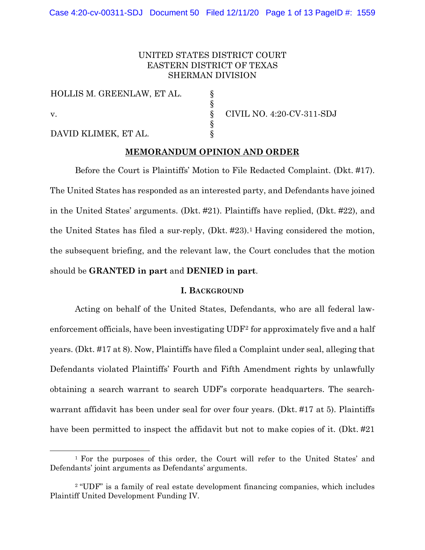# UNITED STATES DISTRICT COURT EASTERN DISTRICT OF TEXAS SHERMAN DIVISION

§ § § § §

HOLLIS M. GREENLAW, ET AL. v. DAVID KLIMEK, ET AL.

CIVIL NO. 4:20-CV-311-SDJ

### **MEMORANDUM OPINION AND ORDER**

Before the Court is Plaintiffs' Motion to File Redacted Complaint. (Dkt. #17). The United States has responded as an interested party, and Defendants have joined in the United States' arguments. (Dkt. #21). Plaintiffs have replied, (Dkt. #22), and the United States has filed a sur-reply, (Dkt. #23).<sup>1</sup> Having considered the motion, the subsequent briefing, and the relevant law, the Court concludes that the motion should be **GRANTED in part** and **DENIED in part**.

### **I. BACKGROUND**

Acting on behalf of the United States, Defendants, who are all federal lawenforcement officials, have been investigating UDF[2](#page-0-1) for approximately five and a half years. (Dkt. #17 at 8). Now, Plaintiffs have filed a Complaint under seal, alleging that Defendants violated Plaintiffs' Fourth and Fifth Amendment rights by unlawfully obtaining a search warrant to search UDF's corporate headquarters. The searchwarrant affidavit has been under seal for over four years. (Dkt. #17 at 5). Plaintiffs have been permitted to inspect the affidavit but not to make copies of it. (Dkt. #21)

<span id="page-0-0"></span><sup>1</sup> For the purposes of this order, the Court will refer to the United States' and Defendants' joint arguments as Defendants' arguments.

<span id="page-0-1"></span><sup>&</sup>lt;sup>2</sup> "UDF" is a family of real estate development financing companies, which includes Plaintiff United Development Funding IV.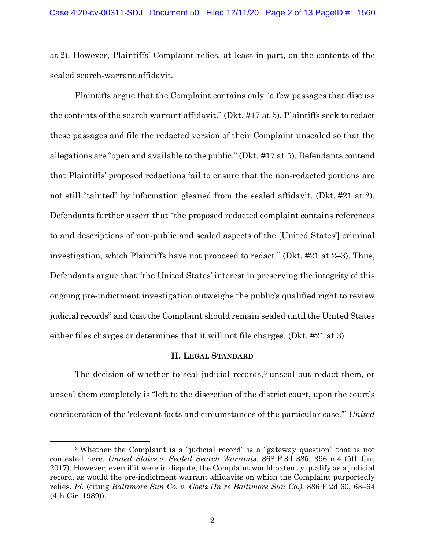at 2). However, Plaintiffs' Complaint relies, at least in part, on the contents of the sealed search-warrant affidavit.

Plaintiffs argue that the Complaint contains only "a few passages that discuss the contents of the search warrant affidavit." (Dkt. #17 at 5). Plaintiffs seek to redact these passages and file the redacted version of their Complaint unsealed so that the allegations are "open and available to the public." (Dkt. #17 at 5). Defendants contend that Plaintiffs' proposed redactions fail to ensure that the non-redacted portions are not still "tainted" by information gleaned from the sealed affidavit. (Dkt. #21 at 2). Defendants further assert that "the proposed redacted complaint contains references to and descriptions of non-public and sealed aspects of the [United States'] criminal investigation, which Plaintiffs have not proposed to redact." (Dkt. #21 at 2–3). Thus, Defendants argue that "the United States' interest in preserving the integrity of this ongoing pre-indictment investigation outweighs the public's qualified right to review judicial records" and that the Complaint should remain sealed until the United States either files charges or determines that it will not file charges. (Dkt. #21 at 3).

# **II. LEGAL STANDARD**

The decision of whether to seal judicial records,<sup>[3](#page-1-0)</sup> unseal but redact them, or unseal them completely is "left to the discretion of the district court, upon the court's consideration of the 'relevant facts and circumstances of the particular case.'" *United* 

<span id="page-1-0"></span><sup>3</sup> Whether the Complaint is a "judicial record" is a "gateway question" that is not contested here. *United States v. Sealed Search Warrants*, 868 F.3d 385, 396 n.4 (5th Cir. 2017). However, even if it were in dispute, the Complaint would patently qualify as a judicial record, as would the pre-indictment warrant affidavits on which the Complaint purportedly relies. *Id.* (citing *Baltimore Sun Co. v. Goetz (In re Baltimore Sun Co.)*, 886 F.2d 60, 63–64 (4th Cir. 1989)).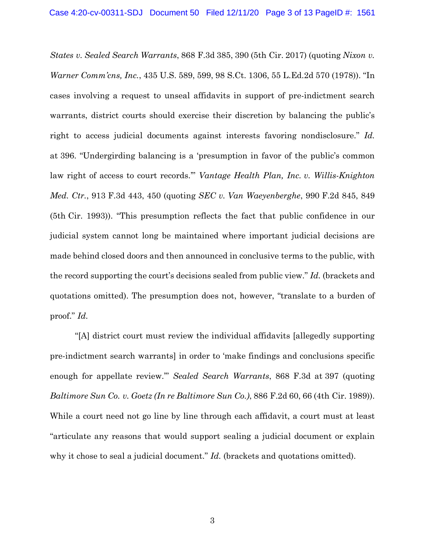*States v. Sealed Search Warrants*, 868 F.3d 385, 390 (5th Cir. 2017) (quoting *Nixon v. Warner Comm'cns, Inc.*, 435 U.S. 589, 599, 98 S.Ct. 1306, 55 L.Ed.2d 570 (1978)). "In cases involving a request to unseal affidavits in support of pre-indictment search warrants, district courts should exercise their discretion by balancing the public's right to access judicial documents against interests favoring nondisclosure." *Id.* at 396. "Undergirding balancing is a 'presumption in favor of the public's common law right of access to court records.'" *Vantage Health Plan, Inc. v. Willis-Knighton Med. Ctr.*, 913 F.3d 443, 450 (quoting *SEC v. Van Waeyenberghe*, 990 F.2d 845, 849 (5th Cir. 1993)). "This presumption reflects the fact that public confidence in our judicial system cannot long be maintained where important judicial decisions are made behind closed doors and then announced in conclusive terms to the public, with the record supporting the court's decisions sealed from public view." *Id.* (brackets and quotations omitted). The presumption does not, however, "translate to a burden of proof." *Id.*

"[A] district court must review the individual affidavits [allegedly supporting pre-indictment search warrants] in order to 'make findings and conclusions specific enough for appellate review.'" *Sealed Search Warrants*, 868 F.3d at 397 (quoting *Baltimore Sun Co. v. Goetz (In re Baltimore Sun Co.)*, 886 F.2d 60, 66 (4th Cir. 1989)). While a court need not go line by line through each affidavit, a court must at least "articulate any reasons that would support sealing a judicial document or explain why it chose to seal a judicial document." *Id.* (brackets and quotations omitted).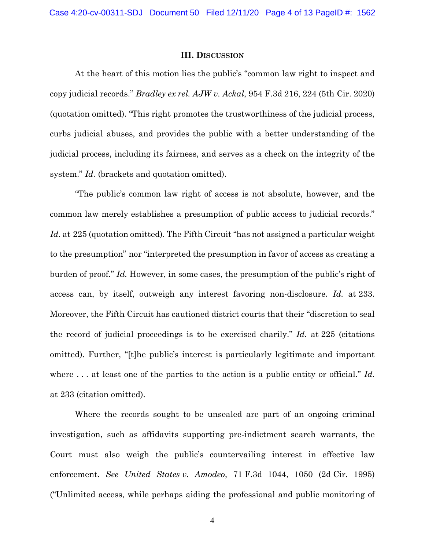#### **III. DISCUSSION**

At the heart of this motion lies the public's "common law right to inspect and copy judicial records." *Bradley ex rel. AJW v. Ackal*, 954 F.3d 216, 224 (5th Cir. 2020) (quotation omitted). "This right promotes the trustworthiness of the judicial process, curbs judicial abuses, and provides the public with a better understanding of the judicial process, including its fairness, and serves as a check on the integrity of the system." *Id.* (brackets and quotation omitted).

"The public's common law right of access is not absolute, however, and the common law merely establishes a presumption of public access to judicial records." Id. at 225 (quotation omitted). The Fifth Circuit "has not assigned a particular weight to the presumption" nor "interpreted the presumption in favor of access as creating a burden of proof." *Id.* However, in some cases, the presumption of the public's right of access can, by itself, outweigh any interest favoring non-disclosure. *Id.* at 233. Moreover, the Fifth Circuit has cautioned district courts that their "discretion to seal the record of judicial proceedings is to be exercised charily." *Id.* at 225 (citations omitted). Further, "[t]he public's interest is particularly legitimate and important where ... at least one of the parties to the action is a public entity or official." *Id.* at 233 (citation omitted).

Where the records sought to be unsealed are part of an ongoing criminal investigation, such as affidavits supporting pre-indictment search warrants, the Court must also weigh the public's countervailing interest in effective law enforcement. *See United States v. Amodeo*, 71 F.3d 1044, 1050 (2d Cir. 1995) ("Unlimited access, while perhaps aiding the professional and public monitoring of

4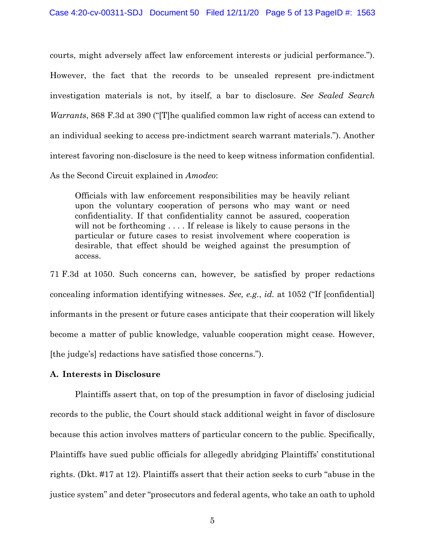courts, might adversely affect law enforcement interests or judicial performance."). However, the fact that the records to be unsealed represent pre-indictment investigation materials is not, by itself, a bar to disclosure. *See Sealed Search Warrants*, 868 F.3d at 390 ("[T]he qualified common law right of access can extend to an individual seeking to access pre-indictment search warrant materials."). Another interest favoring non-disclosure is the need to keep witness information confidential. As the Second Circuit explained in *Amodeo*:

Officials with law enforcement responsibilities may be heavily reliant upon the voluntary cooperation of persons who may want or need confidentiality. If that confidentiality cannot be assured, cooperation will not be forthcoming . . . . If release is likely to cause persons in the particular or future cases to resist involvement where cooperation is desirable, that effect should be weighed against the presumption of access.

71 F.3d at 1050. Such concerns can, however, be satisfied by proper redactions concealing information identifying witnesses. *See, e.g.*, *id.* at 1052 ("If [confidential] informants in the present or future cases anticipate that their cooperation will likely become a matter of public knowledge, valuable cooperation might cease. However, [the judge's] redactions have satisfied those concerns.").

# **A. Interests in Disclosure**

Plaintiffs assert that, on top of the presumption in favor of disclosing judicial records to the public, the Court should stack additional weight in favor of disclosure because this action involves matters of particular concern to the public. Specifically, Plaintiffs have sued public officials for allegedly abridging Plaintiffs' constitutional rights. (Dkt. #17 at 12). Plaintiffs assert that their action seeks to curb "abuse in the justice system" and deter "prosecutors and federal agents, who take an oath to uphold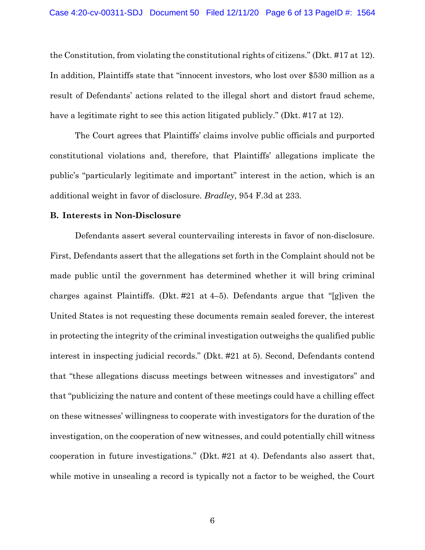the Constitution, from violating the constitutional rights of citizens." (Dkt. #17 at 12). In addition, Plaintiffs state that "innocent investors, who lost over \$530 million as a result of Defendants' actions related to the illegal short and distort fraud scheme, have a legitimate right to see this action litigated publicly." (Dkt. #17 at 12).

The Court agrees that Plaintiffs' claims involve public officials and purported constitutional violations and, therefore, that Plaintiffs' allegations implicate the public's "particularly legitimate and important" interest in the action, which is an additional weight in favor of disclosure. *Bradley*, 954 F.3d at 233.

### **B. Interests in Non-Disclosure**

Defendants assert several countervailing interests in favor of non-disclosure. First, Defendants assert that the allegations set forth in the Complaint should not be made public until the government has determined whether it will bring criminal charges against Plaintiffs. (Dkt. #21 at 4–5). Defendants argue that "[g]iven the United States is not requesting these documents remain sealed forever, the interest in protecting the integrity of the criminal investigation outweighs the qualified public interest in inspecting judicial records." (Dkt. #21 at 5). Second, Defendants contend that "these allegations discuss meetings between witnesses and investigators" and that "publicizing the nature and content of these meetings could have a chilling effect on these witnesses' willingness to cooperate with investigators for the duration of the investigation, on the cooperation of new witnesses, and could potentially chill witness cooperation in future investigations." (Dkt. #21 at 4). Defendants also assert that, while motive in unsealing a record is typically not a factor to be weighed, the Court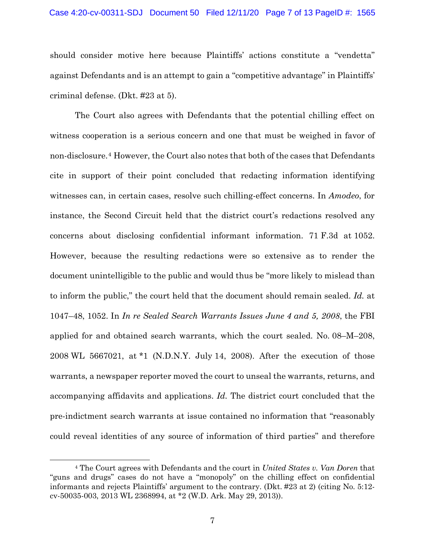#### Case 4:20-cv-00311-SDJ Document 50 Filed 12/11/20 Page 7 of 13 PageID #: 1565

should consider motive here because Plaintiffs' actions constitute a "vendetta" against Defendants and is an attempt to gain a "competitive advantage" in Plaintiffs' criminal defense. (Dkt. #23 at 5).

The Court also agrees with Defendants that the potential chilling effect on witness cooperation is a serious concern and one that must be weighed in favor of non-disclosure.[4](#page-6-0) However, the Court also notes that both of the cases that Defendants cite in support of their point concluded that redacting information identifying witnesses can, in certain cases, resolve such chilling-effect concerns. In *Amodeo*, for instance, the Second Circuit held that the district court's redactions resolved any concerns about disclosing confidential informant information. 71 F.3d at 1052. However, because the resulting redactions were so extensive as to render the document unintelligible to the public and would thus be "more likely to mislead than to inform the public," the court held that the document should remain sealed. *Id.* at 1047–48, 1052. In *In re Sealed Search Warrants Issues June 4 and 5, 2008*, the FBI applied for and obtained search warrants, which the court sealed. No. 08–M–208, 2008 WL 5667021, at \*1 (N.D.N.Y. July 14, 2008). After the execution of those warrants, a newspaper reporter moved the court to unseal the warrants, returns, and accompanying affidavits and applications. *Id.* The district court concluded that the pre-indictment search warrants at issue contained no information that "reasonably could reveal identities of any source of information of third parties" and therefore

<span id="page-6-0"></span><sup>4</sup> The Court agrees with Defendants and the court in *United States v. Van Doren* that "guns and drugs" cases do not have a "monopoly" on the chilling effect on confidential informants and rejects Plaintiffs' argument to the contrary. (Dkt. #23 at 2) (citing No. 5:12 cv-50035-003, 2013 WL 2368994, at \*2 (W.D. Ark. May 29, 2013)).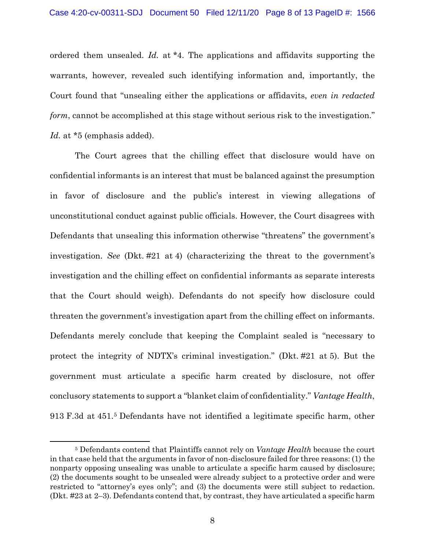ordered them unsealed. *Id.* at \*4. The applications and affidavits supporting the warrants, however, revealed such identifying information and, importantly, the Court found that "unsealing either the applications or affidavits, *even in redacted form*, cannot be accomplished at this stage without serious risk to the investigation." *Id.* at \*5 (emphasis added).

The Court agrees that the chilling effect that disclosure would have on confidential informants is an interest that must be balanced against the presumption in favor of disclosure and the public's interest in viewing allegations of unconstitutional conduct against public officials. However, the Court disagrees with Defendants that unsealing this information otherwise "threatens" the government's investigation. *See* (Dkt. #21 at 4) (characterizing the threat to the government's investigation and the chilling effect on confidential informants as separate interests that the Court should weigh). Defendants do not specify how disclosure could threaten the government's investigation apart from the chilling effect on informants. Defendants merely conclude that keeping the Complaint sealed is "necessary to protect the integrity of NDTX's criminal investigation." (Dkt. #21 at 5). But the government must articulate a specific harm created by disclosure, not offer conclusory statements to support a "blanket claim of confidentiality." *Vantage Health*, 913 F.3d at 451.[5](#page-7-0) Defendants have not identified a legitimate specific harm, other

<span id="page-7-0"></span><sup>5</sup> Defendants contend that Plaintiffs cannot rely on *Vantage Health* because the court in that case held that the arguments in favor of non-disclosure failed for three reasons: (1) the nonparty opposing unsealing was unable to articulate a specific harm caused by disclosure; (2) the documents sought to be unsealed were already subject to a protective order and were restricted to "attorney's eyes only"; and (3) the documents were still subject to redaction. (Dkt. #23 at 2–3). Defendants contend that, by contrast, they have articulated a specific harm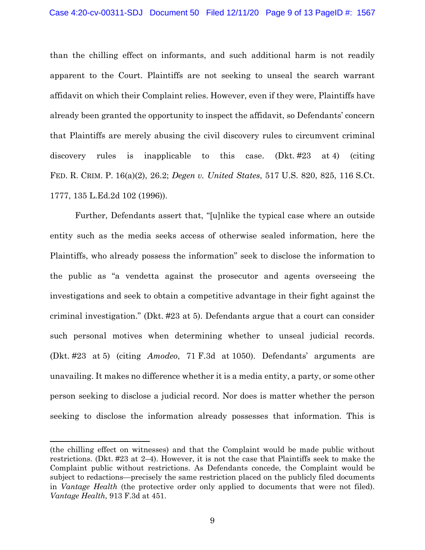than the chilling effect on informants, and such additional harm is not readily apparent to the Court. Plaintiffs are not seeking to unseal the search warrant affidavit on which their Complaint relies. However, even if they were, Plaintiffs have already been granted the opportunity to inspect the affidavit, so Defendants' concern that Plaintiffs are merely abusing the civil discovery rules to circumvent criminal discovery rules is inapplicable to this case. (Dkt. #23 at 4) (citing FED. R. CRIM. P. 16(a)(2), 26.2; *Degen v. United States*, 517 U.S. 820, 825, 116 S.Ct. 1777, 135 L.Ed.2d 102 (1996)).

Further, Defendants assert that, "[u]nlike the typical case where an outside entity such as the media seeks access of otherwise sealed information, here the Plaintiffs, who already possess the information" seek to disclose the information to the public as "a vendetta against the prosecutor and agents overseeing the investigations and seek to obtain a competitive advantage in their fight against the criminal investigation." (Dkt. #23 at 5). Defendants argue that a court can consider such personal motives when determining whether to unseal judicial records. (Dkt. #23 at 5) (citing *Amodeo*, 71 F.3d at 1050). Defendants' arguments are unavailing. It makes no difference whether it is a media entity, a party, or some other person seeking to disclose a judicial record. Nor does is matter whether the person seeking to disclose the information already possesses that information. This is

<sup>(</sup>the chilling effect on witnesses) and that the Complaint would be made public without restrictions. (Dkt. #23 at 2–4). However, it is not the case that Plaintiffs seek to make the Complaint public without restrictions. As Defendants concede, the Complaint would be subject to redactions—precisely the same restriction placed on the publicly filed documents in *Vantage Health* (the protective order only applied to documents that were not filed). *Vantage Health*, 913 F.3d at 451.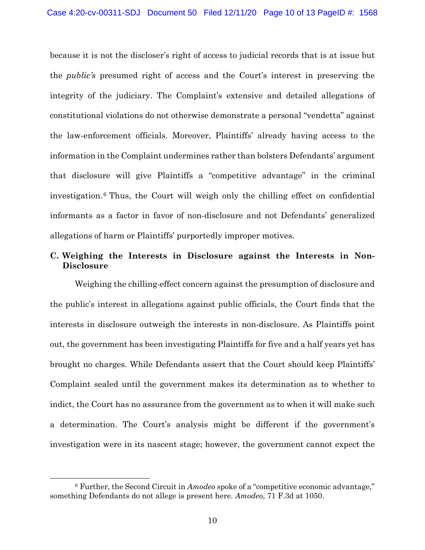because it is not the discloser's right of access to judicial records that is at issue but the *public's* presumed right of access and the Court's interest in preserving the integrity of the judiciary. The Complaint's extensive and detailed allegations of constitutional violations do not otherwise demonstrate a personal "vendetta" against the law-enforcement officials. Moreover, Plaintiffs' already having access to the information in the Complaint undermines rather than bolsters Defendants' argument that disclosure will give Plaintiffs a "competitive advantage" in the criminal investigation.[6](#page-9-0) Thus, the Court will weigh only the chilling effect on confidential informants as a factor in favor of non-disclosure and not Defendants' generalized allegations of harm or Plaintiffs' purportedly improper motives.

# **C. Weighing the Interests in Disclosure against the Interests in Non-Disclosure**

Weighing the chilling-effect concern against the presumption of disclosure and the public's interest in allegations against public officials, the Court finds that the interests in disclosure outweigh the interests in non-disclosure. As Plaintiffs point out, the government has been investigating Plaintiffs for five and a half years yet has brought no charges. While Defendants assert that the Court should keep Plaintiffs' Complaint sealed until the government makes its determination as to whether to indict, the Court has no assurance from the government as to when it will make such a determination. The Court's analysis might be different if the government's investigation were in its nascent stage; however, the government cannot expect the

<span id="page-9-0"></span><sup>6</sup> Further, the Second Circuit in *Amodeo* spoke of a "competitive economic advantage," something Defendants do not allege is present here. *Amodeo*, 71 F.3d at 1050.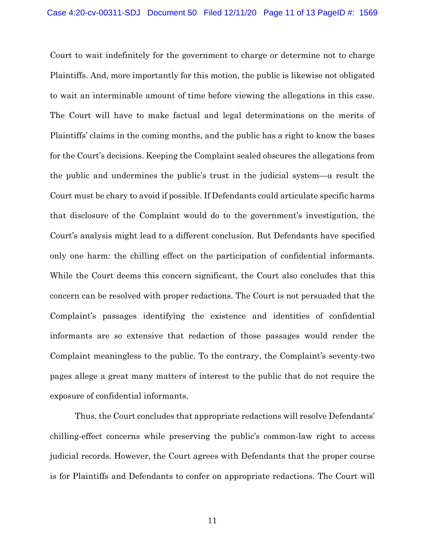Court to wait indefinitely for the government to charge or determine not to charge Plaintiffs. And, more importantly for this motion, the public is likewise not obligated to wait an interminable amount of time before viewing the allegations in this case. The Court will have to make factual and legal determinations on the merits of Plaintiffs' claims in the coming months, and the public has a right to know the bases for the Court's decisions. Keeping the Complaint sealed obscures the allegations from the public and undermines the public's trust in the judicial system—a result the Court must be chary to avoid if possible. If Defendants could articulate specific harms that disclosure of the Complaint would do to the government's investigation, the Court's analysis might lead to a different conclusion. But Defendants have specified only one harm: the chilling effect on the participation of confidential informants. While the Court deems this concern significant, the Court also concludes that this concern can be resolved with proper redactions. The Court is not persuaded that the Complaint's passages identifying the existence and identities of confidential informants are so extensive that redaction of those passages would render the Complaint meaningless to the public. To the contrary, the Complaint's seventy-two pages allege a great many matters of interest to the public that do not require the exposure of confidential informants.

Thus, the Court concludes that appropriate redactions will resolve Defendants' chilling-effect concerns while preserving the public's common-law right to access judicial records. However, the Court agrees with Defendants that the proper course is for Plaintiffs and Defendants to confer on appropriate redactions. The Court will

11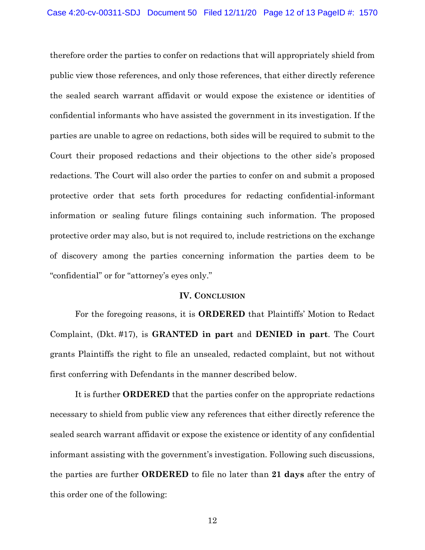therefore order the parties to confer on redactions that will appropriately shield from public view those references, and only those references, that either directly reference the sealed search warrant affidavit or would expose the existence or identities of confidential informants who have assisted the government in its investigation. If the parties are unable to agree on redactions, both sides will be required to submit to the Court their proposed redactions and their objections to the other side's proposed redactions. The Court will also order the parties to confer on and submit a proposed protective order that sets forth procedures for redacting confidential-informant information or sealing future filings containing such information. The proposed protective order may also, but is not required to, include restrictions on the exchange of discovery among the parties concerning information the parties deem to be "confidential" or for "attorney's eyes only."

#### **IV. CONCLUSION**

For the foregoing reasons, it is **ORDERED** that Plaintiffs' Motion to Redact Complaint, (Dkt. #17), is **GRANTED in part** and **DENIED in part**. The Court grants Plaintiffs the right to file an unsealed, redacted complaint, but not without first conferring with Defendants in the manner described below.

It is further **ORDERED** that the parties confer on the appropriate redactions necessary to shield from public view any references that either directly reference the sealed search warrant affidavit or expose the existence or identity of any confidential informant assisting with the government's investigation. Following such discussions, the parties are further **ORDERED** to file no later than **21 days** after the entry of this order one of the following:

12